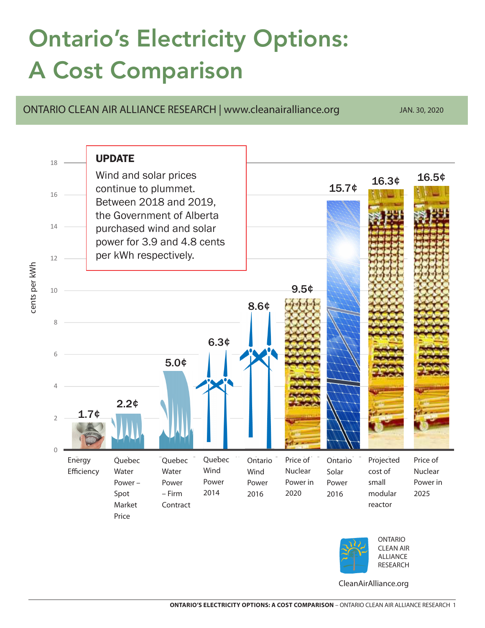## Ontario's Electricity Options: A Cost Comparison

ONTARIO CLEAN AIR ALLIANCE RESEARCH | www.cleanairalliance.org JAN. 30, 2020





CleanAirAlliance.org